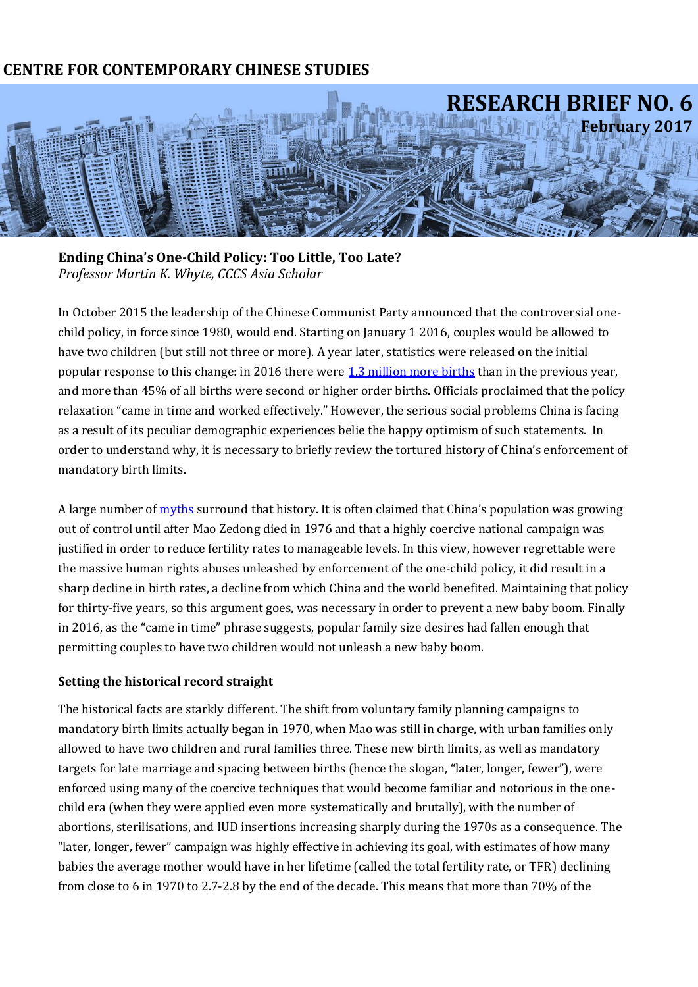## **CENTRE FOR CONTEMPORARY CHINESE STUDIES**



**Ending China's One-Child Policy: Too Little, Too Late?** *Professor Martin K. Whyte, CCCS Asia Scholar*

In October 2015 the leadership of the Chinese Communist Party announced that the controversial onechild policy, in force since 1980, would end. Starting on January 1 2016, couples would be allowed to have two children (but still not three or more). A year later, statistics were released on the initial popular response to this change: in 2016 there were [1.3 million more births](https://www.theguardian.com/world/2017/jan/23/chinas-birth-rate-soars-after-relaxation-of-one-child-policy) than in the previous year, and more than 45% of all births were second or higher order births. Officials proclaimed that the policy relaxation "came in time and worked effectively." However, the serious social problems China is facing as a result of its peculiar demographic experiences belie the happy optimism of such statements. In order to understand why, it is necessary to briefly review the tortured history of China's enforcement of mandatory birth limits.

A large number of [myths](http://scholar.harvard.edu/files/martinwhyte/files/challenging_myths_published_version.pdf) surround that history. It is often claimed that China's population was growing out of control until after Mao Zedong died in 1976 and that a highly coercive national campaign was justified in order to reduce fertility rates to manageable levels. In this view, however regrettable were the massive human rights abuses unleashed by enforcement of the one-child policy, it did result in a sharp decline in birth rates, a decline from which China and the world benefited. Maintaining that policy for thirty-five years, so this argument goes, was necessary in order to prevent a new baby boom. Finally in 2016, as the "came in time" phrase suggests, popular family size desires had fallen enough that permitting couples to have two children would not unleash a new baby boom.

## **Setting the historical record straight**

The historical facts are starkly different. The shift from voluntary family planning campaigns to mandatory birth limits actually began in 1970, when Mao was still in charge, with urban families only allowed to have two children and rural families three. These new birth limits, as well as mandatory targets for late marriage and spacing between births (hence the slogan, "later, longer, fewer"), were enforced using many of the coercive techniques that would become familiar and notorious in the onechild era (when they were applied even more systematically and brutally), with the number of abortions, sterilisations, and IUD insertions increasing sharply during the 1970s as a consequence. The "later, longer, fewer" campaign was highly effective in achieving its goal, with estimates of how many babies the average mother would have in her lifetime (called the total fertility rate, or TFR) declining from close to 6 in 1970 to 2.7-2.8 by the end of the decade. This means that more than 70% of the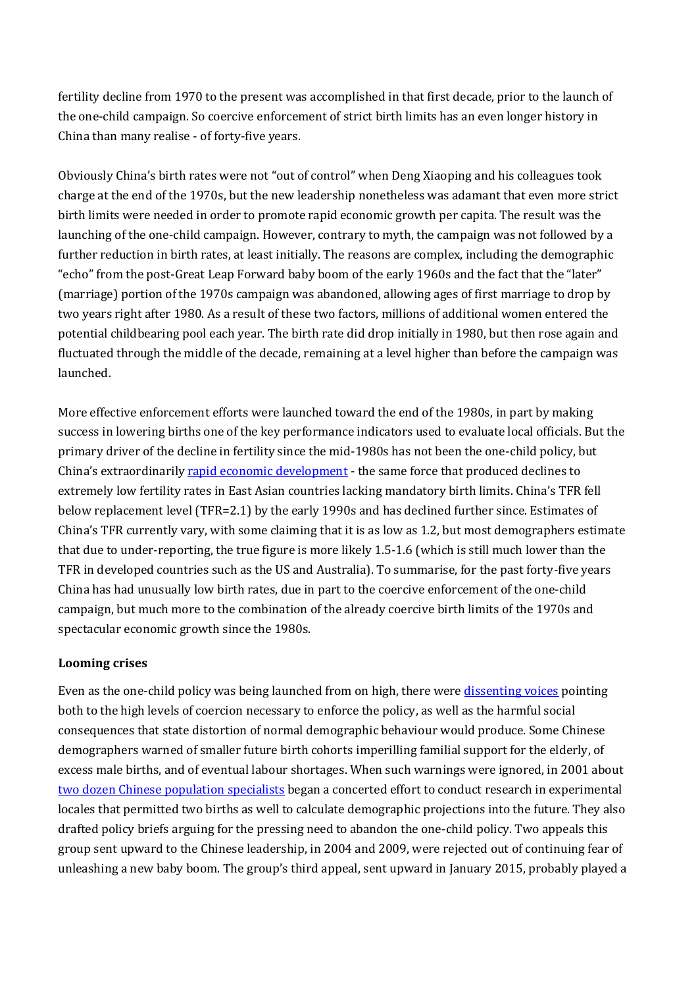fertility decline from 1970 to the present was accomplished in that first decade, prior to the launch of the one-child campaign. So coercive enforcement of strict birth limits has an even longer history in China than many realise - of forty-five years.

Obviously China's birth rates were not "out of control" when Deng Xiaoping and his colleagues took charge at the end of the 1970s, but the new leadership nonetheless was adamant that even more strict birth limits were needed in order to promote rapid economic growth per capita. The result was the launching of the one-child campaign. However, contrary to myth, the campaign was not followed by a further reduction in birth rates, at least initially. The reasons are complex, including the demographic "echo" from the post-Great Leap Forward baby boom of the early 1960s and the fact that the "later" (marriage) portion of the 1970s campaign was abandoned, allowing ages of first marriage to drop by two years right after 1980. As a result of these two factors, millions of additional women entered the potential childbearing pool each year. The birth rate did drop initially in 1980, but then rose again and fluctuated through the middle of the decade, remaining at a level higher than before the campaign was launched.

More effective enforcement efforts were launched toward the end of the 1980s, in part by making success in lowering births one of the key performance indicators used to evaluate local officials. But the primary driver of the decline in fertility since the mid-1980s has not been the one-child policy, but China's extraordinarily [rapid economic development](http://arts.unimelb.edu.au/__data/assets/pdf_file/0006/2255343/RB-06-pp2-1-rapid-economic-development.pdf) - the same force that produced declines to extremely low fertility rates in East Asian countries lacking mandatory birth limits. China's TFR fell below replacement level (TFR=2.1) by the early 1990s and has declined further since. Estimates of China's TFR currently vary, with some claiming that it is as low as 1.2, but most demographers estimate that due to under-reporting, the true figure is more likely 1.5-1.6 (which is still much lower than the TFR in developed countries such as the US and Australia). To summarise, for the past forty-five years China has had unusually low birth rates, due in part to the coercive enforcement of the one-child campaign, but much more to the combination of the already coercive birth limits of the 1970s and spectacular economic growth since the 1980s.

## **Looming crises**

Even as the one-child policy was being launched from on high, there were [dissenting voices](http://arts.unimelb.edu.au/__data/assets/pdf_file/0007/2255344/RB-06-pp2-2-dissenting-voices.pdf) pointing both to the high levels of coercion necessary to enforce the policy, as well as the harmful social consequences that state distortion of normal demographic behaviour would produce. Some Chinese demographers warned of smaller future birth cohorts imperilling familial support for the elderly, of excess male births, and of eventual labour shortages. When such warnings were ignored, in 2001 about [two dozen Chinese population specialists](http://kexue.com.cn/upload/blog/file/2010/9/2010917535739887.pdf) began a concerted effort to conduct research in experimental locales that permitted two births as well to calculate demographic projections into the future. They also drafted policy briefs arguing for the pressing need to abandon the one-child policy. Two appeals this group sent upward to the Chinese leadership, in 2004 and 2009, were rejected out of continuing fear of unleashing a new baby boom. The group's third appeal, sent upward in January 2015, probably played a